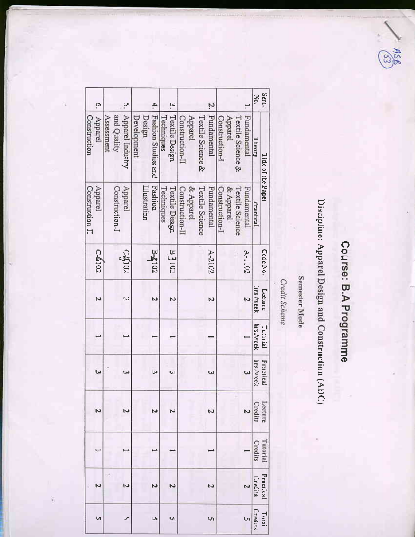### $\frac{1}{25}$

# Course: B.A Programme

# Discipline: Apparel Design and Construction (ADC)

## Semester Mode

Credit Scheme

| ō.                         |                           | ŗ,               |             |              | Ą,                  |            | ٩.                    |                 |           |                   | Ņ           |                |           |                   |             | Ņ9.               | Sem.               |
|----------------------------|---------------------------|------------------|-------------|--------------|---------------------|------------|-----------------------|-----------------|-----------|-------------------|-------------|----------------|-----------|-------------------|-------------|-------------------|--------------------|
| Construction<br>Apparel    | and Quality<br>Assessment | Apparel Industry | Development | Design       | Fashion Studies and | Techniques | Textile Design        | Construction-II | Apparel   | Textile Science & | Fundamental | Construction-I | Apparel   | Textile Science & | Fundamental | Theory            | Title of the Paper |
| Apparel<br>Construction-II | Construction-I            | Apparel          |             | Illustration | Fashion             | Techniques | <b>Textile Design</b> | Construction-I  | & Apparel | Textile Science   | Fundamental | Construction-I | & Apparel | Textile Science   | Fundamental | Practical         |                    |
| C-4102                     |                           | $C_{\rm Q102}$   |             |              | <b>BA102</b>        |            | Z0168                 |                 |           |                   | A-2102      |                |           |                   | $4 - 1102$  |                   | Code No.           |
| N                          |                           | M                |             |              | Ń                   |            | N                     |                 |           |                   |             |                |           |                   |             | hrs,/week         | Lecture            |
|                            |                           |                  |             |              |                     |            |                       |                 |           |                   |             |                |           |                   |             | hrs./week         | Tutorial           |
| ω                          |                           | سا               |             |              | Ŵ                   |            | ω                     |                 |           |                   | ω           |                |           |                   |             | <b>IIrs Aweek</b> | Practical          |
| N                          |                           |                  |             |              | 2                   |            |                       |                 |           |                   |             |                |           |                   |             | Credits           | <b>Lecture</b>     |
|                            |                           |                  |             |              |                     |            |                       |                 |           |                   |             |                |           |                   |             | Credits           | l utorial          |
|                            |                           | N                |             |              | Ζ                   |            | N                     |                 |           |                   |             |                |           |                   |             | Credits           | Practical          |
| Ų,                         |                           |                  |             |              |                     |            | U                     |                 |           |                   |             |                |           |                   |             | Credits           | Toral              |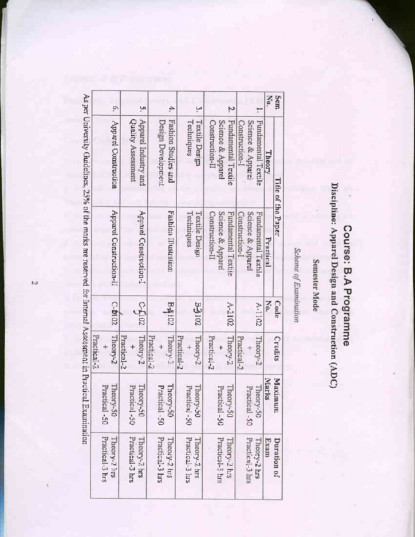As per University Guidelines, 25% of the marks are reserved for Internal Assessment in Practical Examination

|             | b.                               |             |                    | 'n,                    |             |                    | 4.                   |             |                 |                       |                 |                 |                   | Ņ                   |                |                    | 7                   | Xq.       | Sem                |
|-------------|----------------------------------|-------------|--------------------|------------------------|-------------|--------------------|----------------------|-------------|-----------------|-----------------------|-----------------|-----------------|-------------------|---------------------|----------------|--------------------|---------------------|-----------|--------------------|
|             | Apparel Construction             |             | Quality Assessment | Apparel Industry and   |             | Design Development | Fashion Studies and  |             | Techniques      | Textile Design        | Construction-II |                 | Science & Apparel | Fundamental Textile | Construction-1 | Science & Apparel- | Fundamental Textile | Theory    |                    |
|             | Apparel Construction-II          |             |                    | Apparel Construction-I |             |                    | Fashion Illustration |             | Techniques      | <b>Textile Design</b> | Construction-II |                 | Science & Apparel | Fundamental Textile | Construction-I | Science & Apparel  | Fundamental Textile | Practical | Fitle of the Paper |
|             | C-b102                           |             |                    | $C$ -LI $02$           |             |                    | 2017年                |             |                 | 29162                 |                 |                 |                   | A-2102              |                |                    | A-1102              | No.       | Cade               |
| Practical-2 | Theory-2                         | Practical-2 |                    | Theory-2               | Practical-2 |                    | Theory-2             | Practical-2 |                 | Theory-2              | Practical-2     |                 |                   | Theory-2            | Practical-2    |                    | Theory-2            |           | <b>Credits</b>     |
|             | Theory-50<br>Practical-50        |             | Practical-50       | Theory-50              |             | Practical -50      | Theory-50            |             | Practical -50   | Theory-50             |                 | Practical-50    |                   | Theory-50           |                | Practical -50      | Theory-50           | Marks     | Maximum            |
|             | Practical-3 hrs<br>Theory-2 lirs |             | Practical-3 hrs    | Theory-2 hrs           |             | Practical-3 hrs    | Theory-2 hrs         |             | Practical-3 hrs | Theory-2 hrs          |                 | Practical-3 hrs |                   | Theory-2 hrs        |                | Practical-3 hrs    | Theory-2 hrs        | txam      | Duration of        |

## Discipline: Apparel Design and Construction (ADC) Course: B.A Programme

Scheme of Examination

Semester Mode

i‡.

ζJ,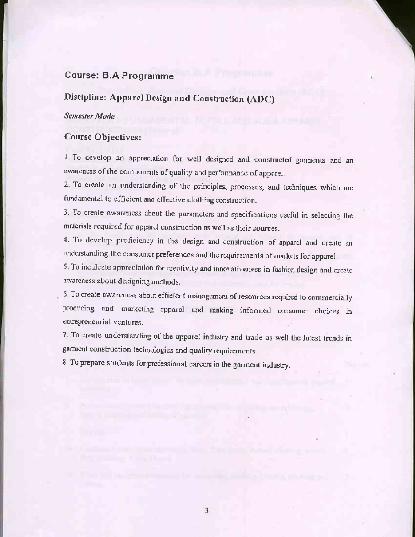### **Course: B.A Programme**

### Discipline: Apparel Design and Construction (ADC)

### Semester Mode

### **Course Objectives:**

1 To develop an appreciation for well designed and constructed garments and an awareness of the components of quality and performance of apparel.

2. To create an understanding of the principles, processes, and techniques which are fundamental to efficient and effective clothing construction.

3. To create awareness about the parameters and specifications useful in selecting the materials required for apparel construction as well as their sources.

4. To develop proficiency in the design and construction of apparel and create an understanding the consumer preferences and the requirements of markets for apparel.

5. To inculcate appreciation for creativity and innovativeness in fashion design and create awareness about designing methods.

6. To create awareness about efficient management of resources required to commercially producing and marketing apparel and making informed consumer choices in entrepreneurial ventures.

7. To create understanding of the apparel industry and trade as well the latest trends in garment construction technologies and quality requirements.

8. To prepare students for professional careers in the garment industry.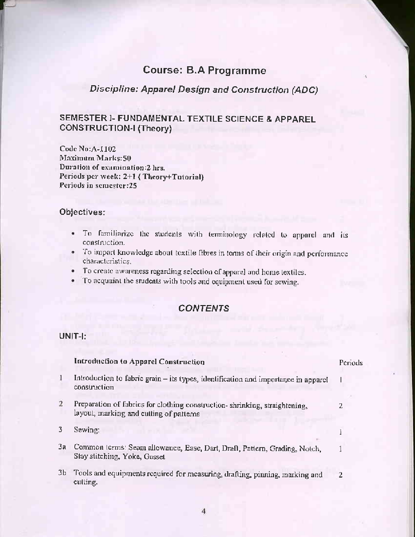### **Course: B.A Programme**

### Discipline: Apparel Design and Construction (ADC)

### SEMESTER I- FUNDAMENTAL TEXTILE SCIENCE & APPAREL **CONSTRUCTION-I (Theory)**

Code No: A-1102 Maximum Marks:50 Duration of examination:2 hrs. Periods per week: 2+1 (Theory+Tutorial) Periods in semester:25

### Objectives:

- To familiarize the students with terminology related to apparel and its . construction.
- · To impart knowledge about textile fibres in terms of their origin and performance characteristics.
- · To create awareness regarding selection of apparel and home textiles.
- To acquaint the students with tools and equipment used for sewing.

### **CONTENTS**

### UNIT-I:

|                | Introduction to Apparel Construction                                                                                  | Periods |
|----------------|-----------------------------------------------------------------------------------------------------------------------|---------|
|                | Introduction to fabric grain - its types, identification and importance in apparel<br>construction                    |         |
| $\overline{2}$ | Preparation of fabrics for clothing construction-shrinking, straightening,<br>layout, marking and cutting of patterns |         |
| 3              | Sewing:                                                                                                               |         |
| 3a             | Common terms: Seam allowance, Ease, Dart, Draft, Pattern, Grading, Notch,<br>Stay stitching, Yoke, Gusset             |         |
| 3Ь             | Tools and equipments required for measuring, drafting, pinning, marking and<br>cutting.                               |         |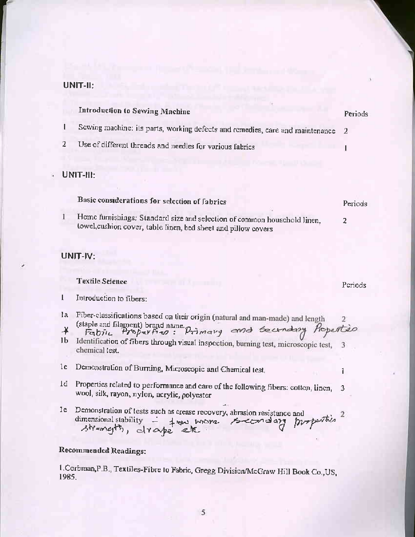### UNIT-II:

### **Introduction to Sewing Machine** Periods Sewing machine: its parts, working defects and remedies, care and maintenance 2 Use of different threads and needles for various fabrics  $\overline{1}$

### UNIT-III:

t

2

1

 $\mathbf{I}$ 

ï.

| Dasic construct attions for selection of labrics                                                                                           | Periods |
|--------------------------------------------------------------------------------------------------------------------------------------------|---------|
| Home furnishings: Standard size and selection of common household linen.<br>towel, cushion cover, table linen, bed sheet and pillow covers |         |

Periods

1

### UNIT-IV:

### **Textile Science**

Introduction to fibers:

- la Fiber-classifications based on their origin (natural and man-made) and length (staple and filament) brand name. Drimary and technology Properties ¥
- 1b Identification of fibers through visual inspection, burning test, microscopic test, 3 chemical test.
- Demonstration of Burning, Microscopic and Chemical test, 1c.
- 1d Properties related to performance and care of the following fibers: cotton, linen, 3 wool, silk, rayon, nylon, acrylic, polyester
- Demonstration of tests such as crease recovery, abrasion resistance and  $1e$ properties dimensional stability - from more.<br>strangth, draspe etc secondary

### **Recommended Readings:**

1. Corbman, P.B., Textiles-Fibre to Fabric, Gregg Division/McGraw Hill Book Co., US, 1985.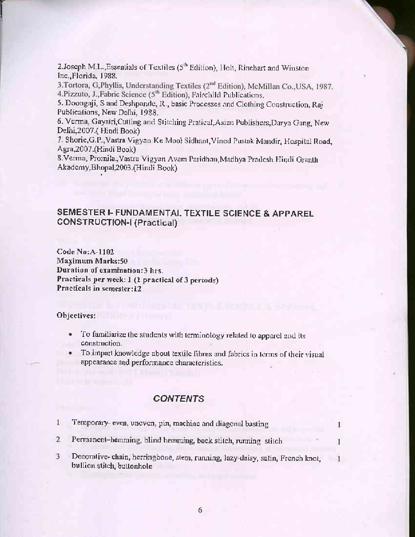2.Joseph M.L., Essentials of Textiles (5<sup>th</sup> Edition), Holt, Rinehart and Winston Inc., Florida, 1988.

3. Tortora, G, Phyllis, Understanding Textiles (2<sup>nd</sup> Edition), McMillan Co., USA, 1987. 4.Pizzuto, J., Fabric Science (5<sup>th</sup> Edition), Fairchild Publications.

5. Doongaji, S and Deshpande, R., basic Processes and Clothing Construction, Raj Publications, New Delhi, 1988.

6. Verma, Gayatri, Cutting and Stitching Pratical, Asian Publishers, Darya Gang, New Delhi, 2007.(Hindi Book)

7. Shorie, G.P., Vastra Vigyan Ke Mool Sidhant, Vinod Pustak Mandir, Hospital Road, Agra, 2007. (Hindi Book)

8. Verma, Promila., Vastra Vigyan Avam Paridhan, Madhya Pradesh Hindi Granth Akademy, Bhopal, 2003. (Hindi Book)

### SEMESTER I- FUNDAMENTAL TEXTILE SCIENCE & APPAREL **CONSTRUCTION-I (Practical)**

**Code No:A-1102** Maximum Marks:50 Duration of examination:3 hrs. Practicals per week: 1 (1 practical of 3 periods) Practicals in semester:12

### Objectives:

- To familiarize the students with terminology related to apparel and its  $\bullet$ construction.
- To impart knowledge about textile fibres and fabrics in terms of their visual appearance and performance characteristics.

### **CONTENTS**

| Temporary- even, uneven, pin, machine and diagonal basting                                                  |  |
|-------------------------------------------------------------------------------------------------------------|--|
| Permanent-hemming, blind hemming, back stitch, running stitch                                               |  |
| Decorative-chain, herringbone, stem, running, lazy-daisy, satin, French knot,<br>bullion stitch, buttonhole |  |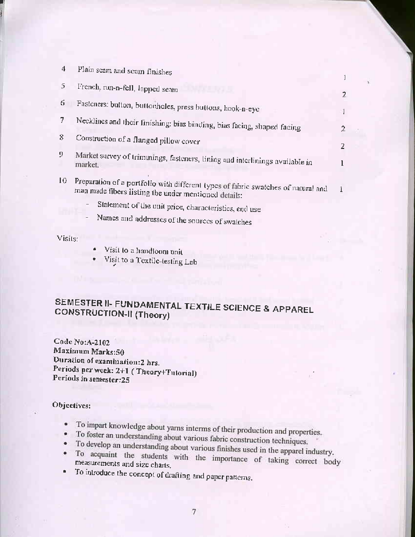| 4  | Plain seam and seam finishes                                                                                                              |                |
|----|-------------------------------------------------------------------------------------------------------------------------------------------|----------------|
| 5. | French, run-n-fell, lapped seam                                                                                                           | $\overline{2}$ |
| 6. | Fasteners: button, buttonholes, press buttons, hook-n-eye                                                                                 | -1             |
| 7  | Necklines and their finishing: bias binding, bias facing, shaped facing                                                                   | $\overline{2}$ |
| 8  | Construction of a flanged pillow cover                                                                                                    | 2              |
| 9. | Market survey of trimmings, fasteners, lining and interlinings available in<br>market.                                                    |                |
| 10 | Preparation of a portfolio with different types of fabric swatches of natural and<br>man made fibers listing the under mentioned details: |                |
|    | Statement of the unit price, characteristics, end use                                                                                     |                |
|    | Names and addresses of the sources of swatches                                                                                            |                |

Visits:

- Visit to a handloom unit
- Visit to a Textile-testing Lab

### SEMESTER II- FUNDAMENTAL TEXTILE SCIENCE & APPAREL **CONSTRUCTION-II (Theory)**

Code No: A-2102 Maximum Marks:50 Duration of examination:2 hrs. Periods per week: 2+1 (Theory+Tutorial) Periods in semester:25

- · To impart knowledge about yarns interms of their production and properties.
- To foster an understanding about various fabric construction techniques.
- To develop an understanding about various finishes used in the apparel industry.
- · To acquaint the students with the importance of taking correct body measurements and size charts.
- To introduce the concept of drafting and paper patterns.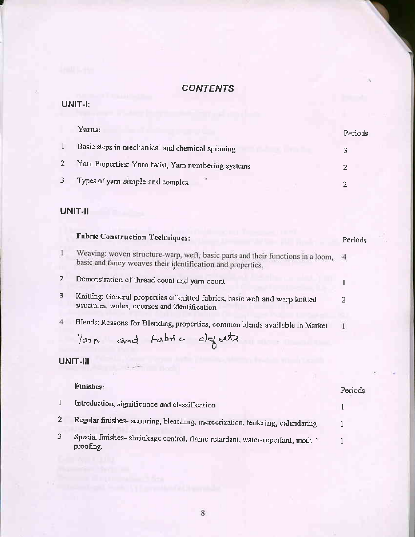### UNIT-I:

| Yarns:                                           | Periods |
|--------------------------------------------------|---------|
| Basic steps in mechanical and chemical spinning  |         |
| Yam Properties: Yam twist, Yam numbering systems |         |
| Types of yarn-simple and complex                 |         |

### UNIT-II

|                | <b>Fabric Construction Techniques:</b>                                                                                                           | Periods |
|----------------|--------------------------------------------------------------------------------------------------------------------------------------------------|---------|
| L              | Weaving: woven structure-warp, weft, basic parts and their functions in a loom, 4<br>basic and fancy weaves their identification and properties. |         |
| $\overline{2}$ | Demonstration of thread count and yarn count                                                                                                     |         |
| 3              | Knitting: General properties of knitted fabrics, basic weft and warp knitted<br>structures, wales, courses and identification                    | 2       |
| 4              | Blends: Reasons for Blending, properties, common blends available in Market<br>Varn and Fabric defects                                           | 1       |
|                | UNIT-III                                                                                                                                         |         |
|                | <b>Finishes:</b>                                                                                                                                 | Periods |
| I              | Introduction, significance and classification                                                                                                    |         |
| 2              | Regular finishes-scouring, bleaching, mercerization, tentering, calendaring                                                                      |         |

Special finishes- shrinkage control, flame retardant, water-repellant, moth proofing.  $\mathbf{3}$ 

 $\bf{l}$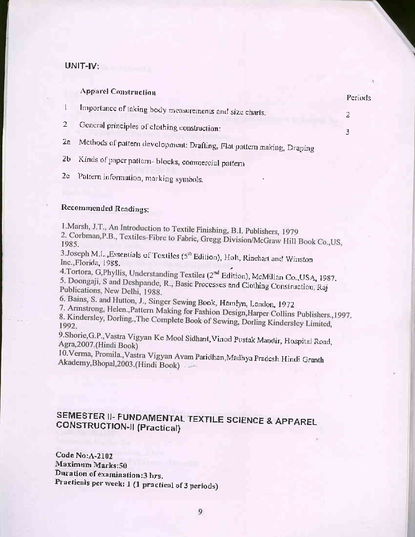### UNIT-IV:

|    | <b>Apparel Construction</b>                                            | Periods |
|----|------------------------------------------------------------------------|---------|
|    | Importance of taking body measurements and size charts.                |         |
|    | General principles of clothing construction:                           |         |
| 2a | Methods of pattern development: Drafting, Flat pattern making, Draping |         |

Kinds of paper pattern- blocks, commercial pattern  $2<sub>b</sub>$ 

2c Pattern information, marking symbols.

### **Recommended Readings:**

1. Marsh, J.T., An Introduction to Textile Finishing, B.I. Publishers, 1979 2. Corbman, P.B., Textiles-Fibre to Fabric, Gregg Division/McGraw Hill Book Co., US,

3.Joseph M.L. Essentials of Textiles (5<sup>th</sup> Edition), Holt, Rinehart and Winston Inc., Florida, 1988.

4. Tortora, G, Phyllis, Understanding Textiles (2<sup>nd</sup> Edition), McMillan Co., USA, 1987. 5. Doongaji, S and Deshpande, R., Basic Processes and Clothing Construction, Raj Publications, New Delhi, 1988.

6. Bains, S. and Hutton, J., Singer Sewing Book, Hamlyn, London, 1972

7. Armstrong, Helen., Pattern Making for Fashion Design, Harper Collins Publishers., 1997. 8. Kindersley, Dorling., The Complete Book of Sewing, Dorling Kindersley Limited,

9.Shorie, G.P., Vastra Vigyan Ke Mool Sidhant, Vinod Pustak Mandir, Hospital Road, Agra, 2007. (Hindi Book)

10. Verma, Promila., Vastra Vigyan Avam Paridhan, Madhya Pradesh Hindi Granth Akademy, Bhopal, 2003. (Hindi Book)

### SEMESTER II- FUNDAMENTAL TEXTILE SCIENCE & APPAREL **CONSTRUCTION-II (Practical)**

Code No: A-2102 Maximum Marks:50 Duration of examination:3 hrs. Practicals per week: 1 (1 practical of 3 periods)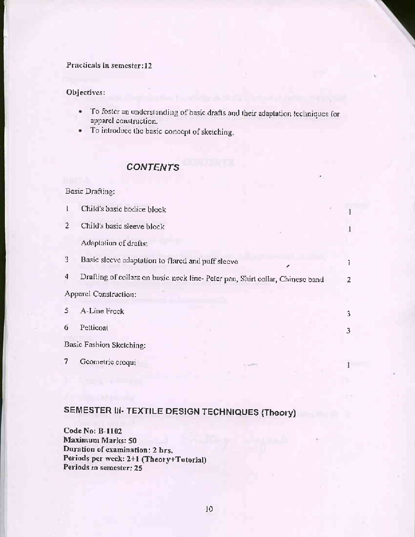### Practicals in semester:12

### Objectives:

- · To foster an understanding of basic drafts and their adaptation techniques for apparel construction.
- To introduce the basic concept of sketching. ۰

### **CONTENTS**

### **Basic Drafting:** Child's basic bodice block  $\mathbf{I}$ 1 Child's basic sleeve block  $\overline{2}$ 1 Adaptation of drafts: 3 Basic sleeve adaptation to flared and puff sleeve Ĩ. Drafting of collars on basic neck line-Peter pan, Shirt collar, Chinese band  $\overline{4}$ 2 Apparel Construction: 5 A-Line Frock 3 6 Petticoat 3 Basic Fashion Sketching: 7 Geometric croqui 1.

### SEMESTER III- TEXTILE DESIGN TECHNIQUES (Theory)

Code No: B-1102 Maximum Marks: 50 Duration of examination: 2 hrs. Periods per weck: 2+1 (Theory+Tutorial) Periods in semester: 25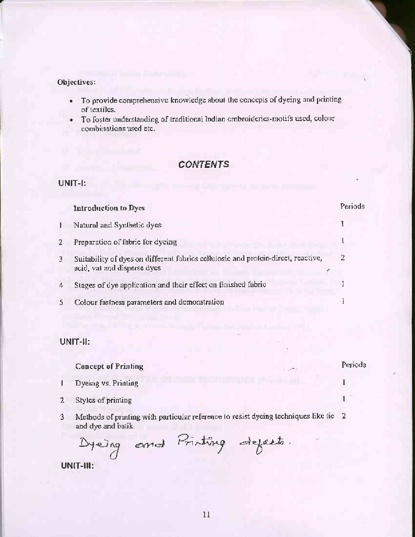### Objectives:

- To provide comprehensive knowledge about the concepts of dyeing and printing ٠ of textiles.
- To foster understanding of traditional Indian embroideries-motifs used, colour  $\bullet$ combinations used etc.

### **CONTENTS**

### UNIT-I:

|              | Introduction to Dyes                                                                                             | Periods |
|--------------|------------------------------------------------------------------------------------------------------------------|---------|
| $\mathbf{I}$ | Natural and Synthetic dyes                                                                                       |         |
| 2            | Preparation of fabric for dyeing                                                                                 |         |
| 3            | Suitability of dyes on different fabrics cellulosic and protein-direct, reactive,<br>acid, val and disperse dyes |         |
| 4            | Stages of dye application and their effect on finished fabric                                                    |         |
|              | Colour fastness parameters and demonstration                                                                     |         |
|              |                                                                                                                  |         |

### UNIT-II:

|   | <b>Concept of Printing</b> | <b>START</b> | Periods |
|---|----------------------------|--------------|---------|
|   | Dyeing vs. Printing        |              |         |
| 2 | Styles of printing         |              |         |

Methods of printing with particular reference to resist dyeing techniques like tie 2  $3$ and dye and batik.

Dyeing and Printing depects.

UNIT-III: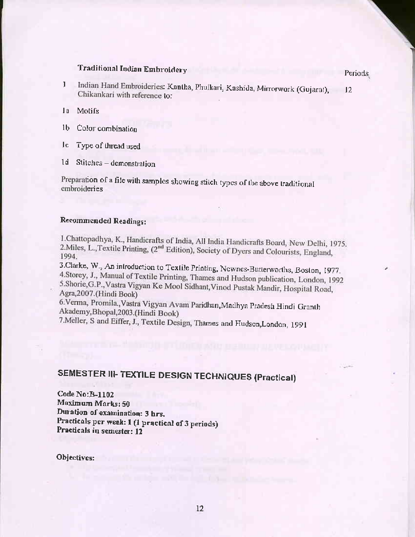### **Traditional Indian Embroidery**

Indian Hand Embroideries: Kantha, Phulkari, Kashida, Mirrorwork (Gujarat),  $\mathbf{I}$  $12$ Chikankari with reference to:

la Motifs

1b Color combination

- Jc. Type of thread used
- Stitches demonstration  $1d$

Preparation of a file with samples showing stitch types of the above traditional embroideries

### Recommended Readings:

I.Chattopadhya, K., Handicrafts of India, All India Handicrafts Board, New Delhi, 1975. 2. Miles, L., Textile Printing, (2<sup>nd</sup> Edition), Society of Dyers and Colourists, England, 1994.

3. Clarke, W., An introduction to Textile Printing, Newnes-Butterworths, Boston, 1977. 4.Storey, J., Manual of Textile Printing, Thames and Hudson publication, London, 1992 5.Shorie, G.P., Vastra Vigyan Ke Mool Sidhant, Vinod Pustak Mandir, Hospital Road, Agra, 2007. (Hindi Book)

6.Verma, Promila., Vastra Vigyan Avam Paridhan, Madhya Pradesh Hindi Granth Akademy, Bhopal, 2003. (Hindi Book)

7. Meller, S and Eiffer, J., Textile Design, Thames and Hudson, London, 1991

### SEMESTER III- TEXTILE DESIGN TECHNIQUES (Practical)

Code No: B-1102 Maximum Marks: 50 Duration of examination: 3 hrs. Practicals per week: 1 (1 practical of 3 periods) Practicals in semester: 12

Objectives:

Periods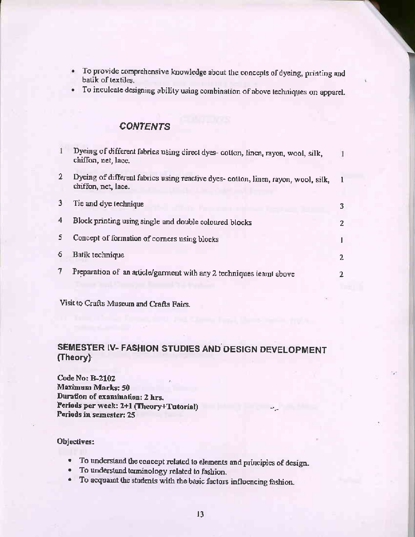- · To provide comprehensive knowledge about the concepts of dyeing, printing and batik of textiles.
- · To inculcate designing ability using combination of above techniques on apparel.

|              | Dyeing of different fabrics using direct dyes- cotton, linen, rayon, wool, silk,<br>chiffon, net, lace.   |    |
|--------------|-----------------------------------------------------------------------------------------------------------|----|
| $\mathbf{2}$ | Dyeing of different fabrics using reactive dyes- cotton, linen, rayon, wool, silk,<br>chiffon, net, lace. |    |
| 3            | Tie and dye technique                                                                                     | 3. |
| 4            | Block printing using single and double coloured blocks                                                    | 2  |
| 5.           | Concept of formation of corners using blocks                                                              |    |
| 6            | Batik technique                                                                                           | 2  |
| 7            | Preparation of an article/garment with any 2 techniques learnt above                                      | 2  |
|              |                                                                                                           |    |

Visit to Crafts Museum and Crafts Fairs.

### SEMESTER IV- FASHION STUDIES AND DESIGN DEVELOPMENT (Theory)

Code No: B-2102 **Maximum Marks: 50** Duration of examination: 2 hrs. Periods per week: 2+1 (Theory+Tutorial) Periods in semester: 25

- To understand the concept related to elements and principles of design.
- To understand terminology related to fashion.
- To acquaint the students with the basic factors influencing fashion.  $\bullet$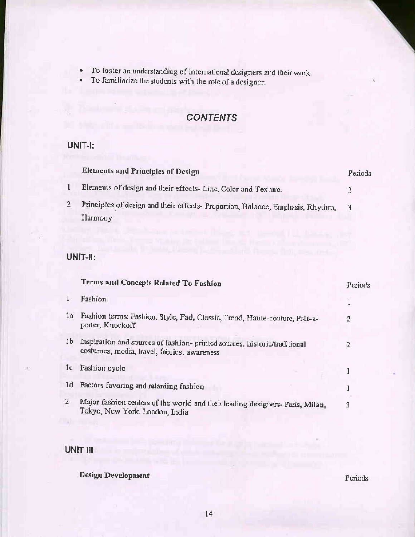- To foster an understanding of international designers and their work. ٠
- To familiarize the students with the role of a designer.  $\sim$

### UNIT-I:

| Elements and Principles of Design                                              | Periods |  |
|--------------------------------------------------------------------------------|---------|--|
| Elements of design and their effects- Line, Color and Texture.                 |         |  |
| Principles of design and their effects- Proportion, Balance, Emphasis, Rhythm, |         |  |
| Harmony                                                                        |         |  |

### UNIT-II:

|                | Terms and Concepts Related To Fushion                                                                                   | Periods |
|----------------|-------------------------------------------------------------------------------------------------------------------------|---------|
| 1              | Fashion:                                                                                                                |         |
| 1a             | Fashion terms: Fashion, Style, Fad, Classic, Trend, Haute-couture, Prêt-a-<br>porter, Knockoff                          | 2       |
| 1 <sub>b</sub> | Inspiration and sources of fashion-printed sources, historic/traditional<br>costumes, media, travel, fabrics, awareness | 2       |
|                | 1c Fashion cycle                                                                                                        |         |
|                | 1d Factors favoring and retarding fashion                                                                               |         |
| $\overline{2}$ | Major fashion centers of the world and their leading designers- Paris, Milan,<br>Tokyo, New York, London, India         |         |

**UNIT III** 

**Design Development** 

### Periods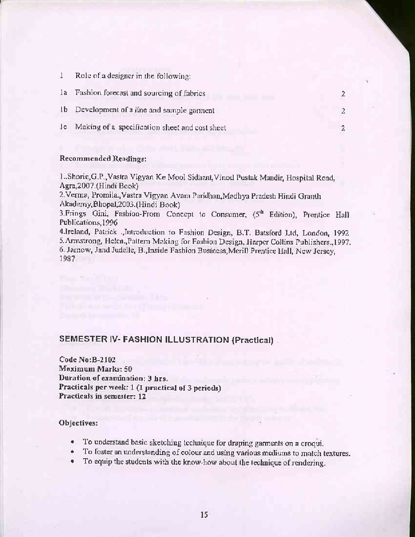Role of a designer in the following:  $\mathbf{1}$ 

| la Fashion forecast and sourcing of fabrics |  |
|---------------------------------------------|--|
| 1b Development of a line and sample garment |  |

2

Ic Making of a specification sheet and cost sheet

### Recommended Readings:

L.Shoric, G.P., Vastra Vigyan Ke Mool Sidhant, Vinod Pustak Mandir, Hospital Road, Agra, 2007. (Hindi Book)

2. Verma, Promila., Vastra Vigyan Avam Paridhan, Madhya Pradesh Hindi Granth Akademy, Bhopal, 2003. (Hindi Book)

3. Frings Gini, Fashion-From Concept to Consumer, (5th Edition), Prentice Hall Publications, 1996

4.Ireland, Patrick , Introduction to Fashion Design, B.T. Batsford Ltd, London, 1992 5. Armstrong, Helen., Pattern Making for Fashion Design, Harper Collins Publishers., 1997. 6. Jarnow, Jand Judelle, B., Inside Fashion Business, Merill Prentice Hall, New Jersey, 1987

### SEMESTER IV- FASHION ILLUSTRATION (Practical)

Code No: B-2102 **Maximum Marks: 50** Duration of examination: 3 hrs. Practicals per week: 1 (I practical of 3 periods) Practicals in semester: 12

### Objectives:

**Contract Contract Contract** 

- To understand basic sketching technique for draping garments on a croqui.
- To foster an understanding of colour and using various mediums to match textures.
- To equip the students with the know-how about the technique of rendering.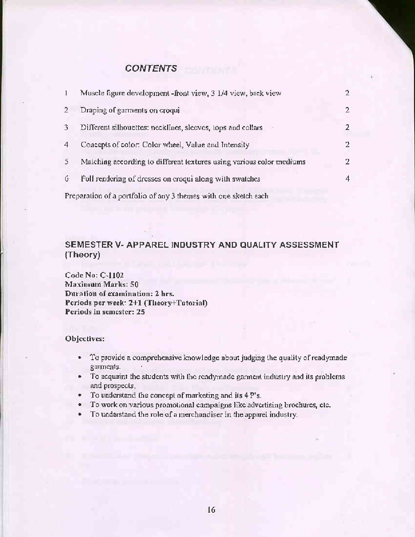|                                                                 | Muscle figure development -front view, 3 1/4 view, back view         |    |
|-----------------------------------------------------------------|----------------------------------------------------------------------|----|
| $\mathbf{2}^{\prime}$                                           | Draping of garments on croqui                                        | 2. |
| 3.                                                              | Different silhouettes: necklines, sleeves, tops and collars          |    |
| 4                                                               | Concepts of color: Color wheel, Value and Intensity                  | 2. |
| 5.                                                              | Matching according to different textures using various color mediums |    |
| 6.                                                              | Full rendering of dresses on croqui along with swatches              | 4  |
| Preparation of a portfolio of any 3 themes with one sketch each |                                                                      |    |

### SEMESTER V- APPAREL INDUSTRY AND QUALITY ASSESSMENT (Theory)

Code No: C-1102 **Maximum Marks: 50** Duration of examination: 2 hrs. Periods per week: 2+1 (Theory+Tutorial) Periods in semester: 25

- To provide a comprehensive knowledge about judging the quality of readymade  $\bullet$  . garments.
- To acquaint the students with the readymade garment industry and its problems  $\bullet$ and prospects.
- To understand the concept of marketing and its 4 P's.
- To work on various promotional campaigns like advertising brochures, etc.
- To understand the role of a merchandiser in the apparel industry. ٠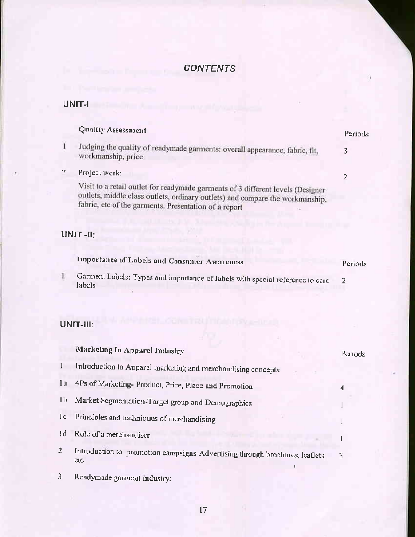### UNIT-I

|   | Quality Assessment                                                                                                                                                                                                        | Periods |
|---|---------------------------------------------------------------------------------------------------------------------------------------------------------------------------------------------------------------------------|---------|
| 1 | Judging the quality of readymade garments: overall appearance, fabric, fit,<br>workmanship, price                                                                                                                         | 3       |
| 2 | Project work:                                                                                                                                                                                                             | 2       |
|   | Visit to a retail outlet for readymade garments of 3 different levels (Designer<br>outlets, middle class outlets, ordinary outlets) and compare the workmanship,<br>fabric, etc of the garments. Presentation of a report |         |
|   | UNIT-II:                                                                                                                                                                                                                  |         |
|   | Importance of Labels and Consumer Awareness                                                                                                                                                                               | Periods |
|   | Garment Labels: Types and importance of labels with special reference to care<br>labels                                                                                                                                   | 2       |
|   | $UNIT-III:$                                                                                                                                                                                                               |         |

|     | Marketing In Apparel Industry                                                      | Periods |
|-----|------------------------------------------------------------------------------------|---------|
|     | Introduction to Apparel marketing and merchandising concepts                       |         |
| l a | 4Ps of Marketing- Product, Price, Place and Promotion                              | 4       |
| ТÞ  | Market Segmentation-Target group and Demographics                                  |         |
| c   | Principles and techniques of merchandising                                         |         |
| Įd. | Role of a merchandiser                                                             |         |
| 2   | Introduction to promotion campaigns-Advertising through brochures, leaflets<br>etc |         |

Readymade garment industry:  $\mathfrak{Z}$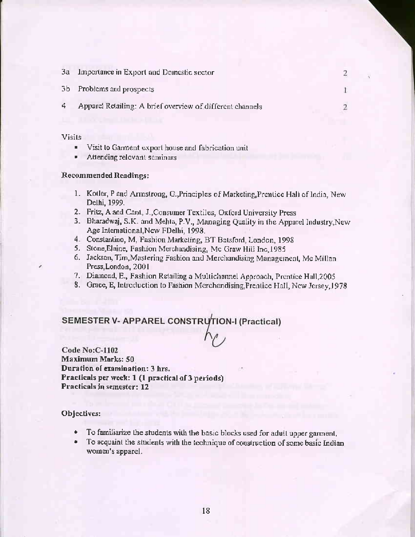| 3a | Importance in Export and Domestic sector                  |  |
|----|-----------------------------------------------------------|--|
|    | 3b Problems and prospects                                 |  |
| 4  | Apparel Retailing: A brief overview of different channels |  |
|    |                                                           |  |

**Visits** 

- $\blacksquare$ Visit to Garment export house and fabrication unit
- Attending relevant seminars ٠

### **Recommended Readings:**

- 1. Kotler, P and Armstrong, G., Principles of Marketing, Prentice Hall of India, New Delhi, 1999.
- 2. Fritz, A and Cant, J., Consumer Textiles, Oxford University Press
- 3. Bharadwaj, S.K. and Mehta, P.V., Managing Quality in the Apparel Industry, New Age International, New FDelhi, 1998.
- 4. Constantino, M, Fashion Marketing, BT Batsford, London, 1998
- 5. Stone, Elaine, Fashion Merchandising, Mc Graw Hill Inc, 1985
- 6. Jackson, Tim, Mastering Fashion and Merchandising Management, Mc Millan Press, London, 2001
- 7. Diamond, E., Fashion Retailing a Multichannel Approach, Prentice Hall, 2005
- 8. Grace, E, Introduction to Fashion Merchandising, Prentice Hall, New Jersey, 1978

### SEMESTER V- APPAREL CONSTRUTION-I (Practical)

**Code No:C-1102 Maximum Marks: 50** Duration of examination: 3 hrs. Practicals per week: 1 (1 practical of 3 periods) Practicals in semester: 12

- To familiarize the students with the basic blocks used for adult upper garment.  $\bullet$
- To acquaint the students with the technique of construction of some basic Indian  $\bullet$ women's apparel.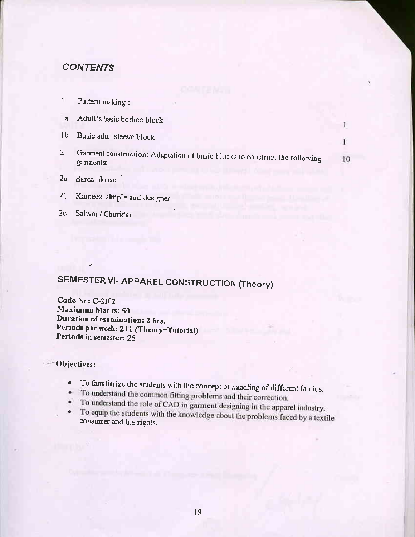|    | Pattern making:                                                                          |    |
|----|------------------------------------------------------------------------------------------|----|
| lа | Adult's basic bodice block                                                               |    |
| 16 | Basic adult sleeve block                                                                 |    |
| 2  | Garment construction: Adaptation of basic blocks to construct the following<br>garments: | 10 |
| 2a | Saree blouse                                                                             |    |

Kameez: simple and designer  $2<sub>b</sub>$ 

### $2<sub>c</sub>$ Salwar / Churidar

### SEMESTER VI- APPAREL CONSTRUCTION (Theory)

Code No: C-2102 **Maximum Marks: 50** Duration of examination: 2 hrs. Periods per week: 2+1 (Theory+Tutorial) Periods in semester: 25

- To familiarize the students with the concept of handling of different fabrics.  $\bullet$
- · To understand the common fitting problems and their correction.
- To understand the role of CAD in garment designing in the apparel industry.  $\bullet$
- To equip the students with the knowledge about the problems faced by a textile consumer and his rights.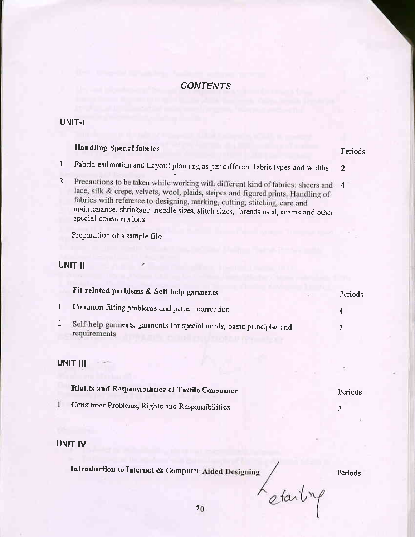### UNIT-I

### **Handling Special fabrics**

- Fabric estimation and Layout planning as per different fabric types and widths  $\mathbf{1}$  $\overline{2}$
- Precautions to be taken while working with different kind of fabrics: sheers and 4  $\mathbf{2}$ lace, silk & crepe, velvets, wool, plaids, stripes and figured prints. Handling of fabrics with reference to designing, marking, cutting, stitching, care and maintenance, shrinkage, needle sizes, stitch sizes, threads used, scams and other special considerations.

Preparation of a sample file

### UNIT II

| Fit related problems & Self help garments                                            | Periods |
|--------------------------------------------------------------------------------------|---------|
| Common fitting problems and pattern correction                                       |         |
| Self-help garments: garments for special needs, basic principles and<br>requirements |         |

### **UNIT III**

| Rights and Responsibilities of Textile Consumer | Periods |
|-------------------------------------------------|---------|
| Consumer Problems, Rights and Responsibilities  |         |

### **UNIT IV**

Introduction to Internet & Computer Aided Designing

Periods

Periods

Letailing